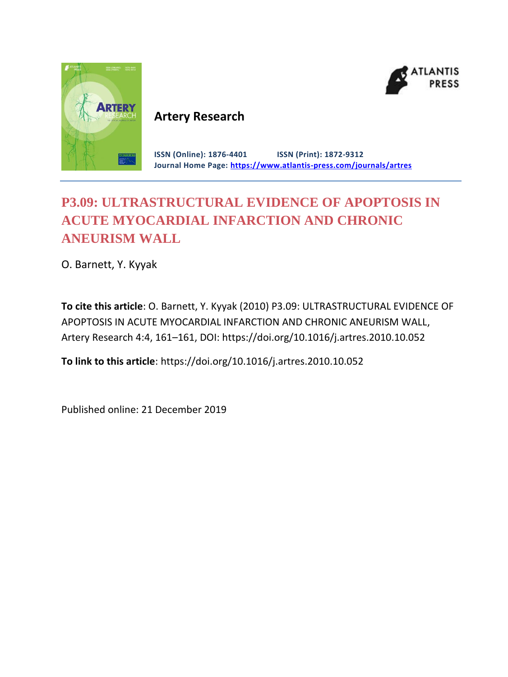



# **Artery Research**

**ISSN (Online): 1876-4401 ISSN (Print): 1872-9312 Journal Home Page: <https://www.atlantis-press.com/journals/artres>**

# **P3.09: ULTRASTRUCTURAL EVIDENCE OF APOPTOSIS IN ACUTE MYOCARDIAL INFARCTION AND CHRONIC ANEURISM WALL**

O. Barnett, Y. Kyyak

**To cite this article**: O. Barnett, Y. Kyyak (2010) P3.09: ULTRASTRUCTURAL EVIDENCE OF APOPTOSIS IN ACUTE MYOCARDIAL INFARCTION AND CHRONIC ANEURISM WALL, Artery Research 4:4, 161–161, DOI: https://doi.org/10.1016/j.artres.2010.10.052

**To link to this article**: https://doi.org/10.1016/j.artres.2010.10.052

Published online: 21 December 2019